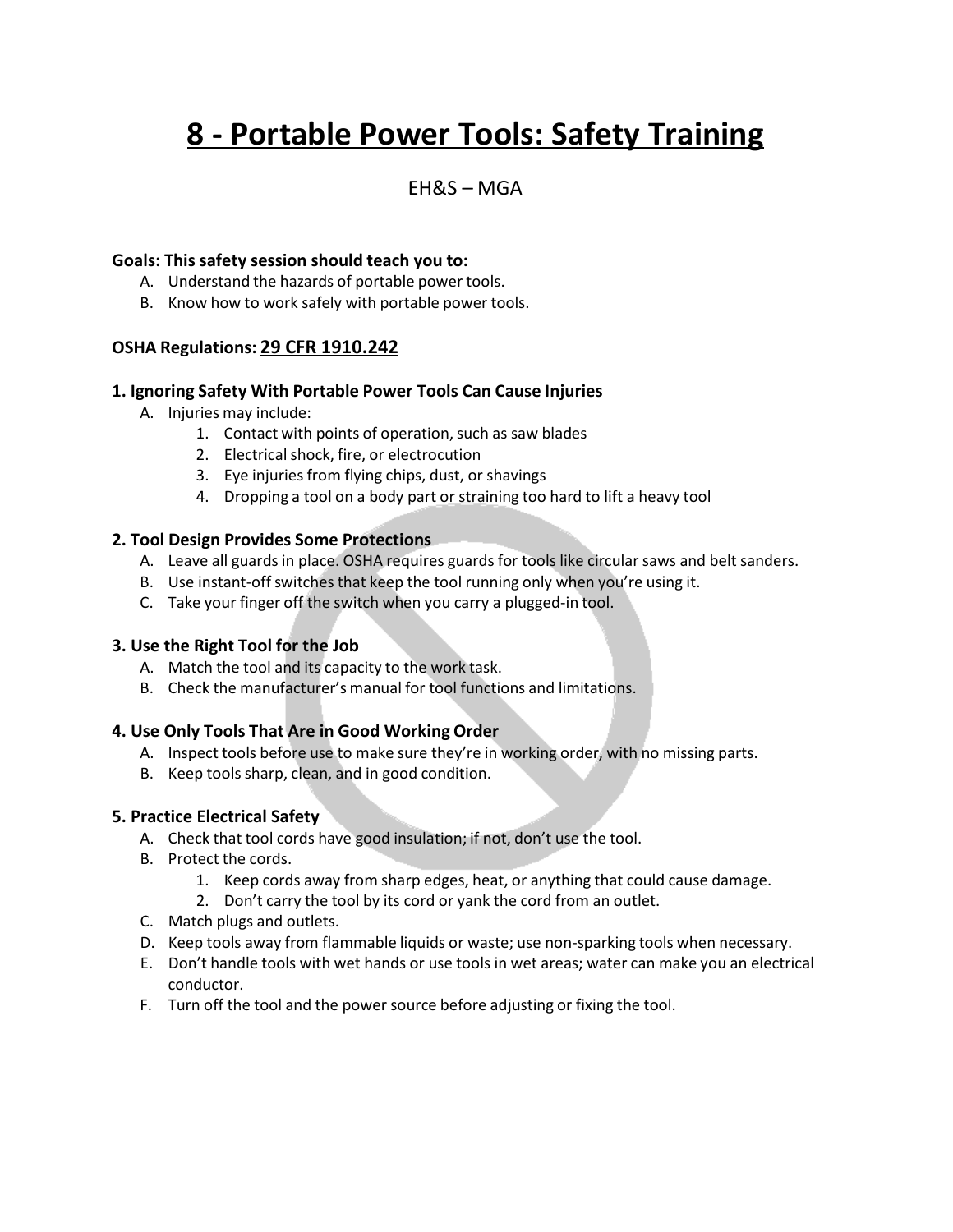# **8 - Portable Power Tools: Safety Training**

# $FHRS - MGA$

# **Goals: This safety session should teach you to:**

- A. Understand the hazards of portable power tools.
- B. Know how to work safely with portable power tools.

# **OSHA Regulations: 29 CFR 1910.242**

#### **1. Ignoring Safety With Portable Power Tools Can Cause Injuries**

- A. Injuries may include:
	- 1. Contact with points of operation, such as saw blades
	- 2. Electrical shock, fire, or electrocution
	- 3. Eye injuries from flying chips, dust, or shavings
	- 4. Dropping a tool on a body part or straining too hard to lift a heavy tool

# **2. Tool Design Provides Some Protections**

- A. Leave all guards in place. OSHA requires guards for tools like circular saws and belt sanders.
- B. Use instant-offswitches that keep the tool running only when you're using it.
- C. Take your finger off the switch when you carry a plugged-in tool.

#### **3. Use the Right Tool for the Job**

- A. Match the tool and its capacity to the work task.
- B. Check the manufacturer's manual for tool functions and limitations.

# **4. Use Only Tools That Are in Good Working Order**

- A. Inspect tools before use to make sure they're in working order, with no missing parts.
- B. Keep tools sharp, clean, and in good condition.

#### **5. Practice Electrical Safety**

- A. Check that tool cords have good insulation; if not, don't use the tool.
- B. Protect the cords.
	- 1. Keep cords away from sharp edges, heat, or anything that could cause damage.
	- 2. Don't carry the tool by its cord or yank the cord from an outlet.
- C. Match plugs and outlets.
- D. Keep tools away from flammable liquids or waste; use non-sparking tools when necessary.
- E. Don't handle tools with wet hands or use tools in wet areas; water can make you an electrical conductor.
- F. Turn off the tool and the power source before adjusting or fixing the tool.